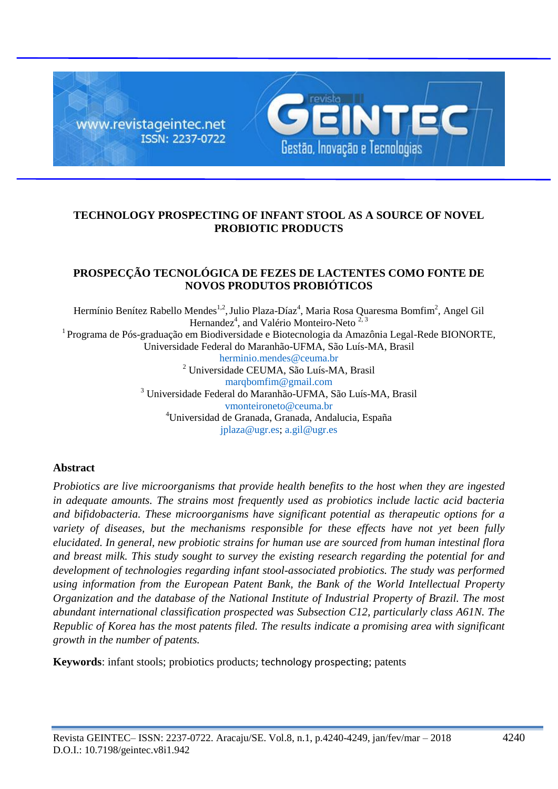

# **TECHNOLOGY PROSPECTING OF INFANT STOOL AS A SOURCE OF NOVEL PROBIOTIC PRODUCTS**

## **PROSPECÇÃO TECNOLÓGICA DE FEZES DE LACTENTES COMO FONTE DE NOVOS PRODUTOS PROBIÓTICOS**

Hermínio Benítez Rabello Mendes<sup>1,2</sup>, Julio Plaza-Díaz<sup>4</sup>, Maria Rosa Quaresma Bomfim<sup>2</sup>, Angel Gil Hernandez<sup>4</sup>, and Valério Monteiro-Neto<sup>2,3</sup>  $1$ Programa de Pós-graduação em Biodiversidade e Biotecnologia da Amazônia Legal-Rede BIONORTE. Universidade Federal do Maranhão-UFMA, São Luís-MA, Brasil [herminio.mendes@ceuma.br](mailto:herminio.mendes@ceuma.br) <sup>2</sup> Universidade CEUMA, São Luís-MA, Brasil [marqbomfim@gmail.com](mailto:marqbomfim@gmail.com) <sup>3</sup> Universidade Federal do Maranhão-UFMA, São Luís-MA, Brasil [vmonteironeto@ceuma.br](mailto:vmonteironeto@ceuma.br) <sup>4</sup>Universidad de Granada, Granada, Andalucia, España

#### [jplaza@ugr.es;](mailto:jplaza@ugr.es) [a.gil@ugr.es](mailto:a.gil@ugr.es)

### **Abstract**

*Probiotics are live microorganisms that provide health benefits to the host when they are ingested in adequate amounts. The strains most frequently used as probiotics include lactic acid bacteria and bifidobacteria. These microorganisms have significant potential as therapeutic options for a variety of diseases, but the mechanisms responsible for these effects have not yet been fully elucidated. In general, new probiotic strains for human use are sourced from human intestinal flora and breast milk. This study sought to survey the existing research regarding the potential for and development of technologies regarding infant stool-associated probiotics. The study was performed using information from the European Patent Bank, the Bank of the World Intellectual Property Organization and the database of the National Institute of Industrial Property of Brazil. The most abundant international classification prospected was Subsection C12, particularly class A61N. The Republic of Korea has the most patents filed. The results indicate a promising area with significant growth in the number of patents.*

**Keywords**: infant stools; probiotics products; technology prospecting; patents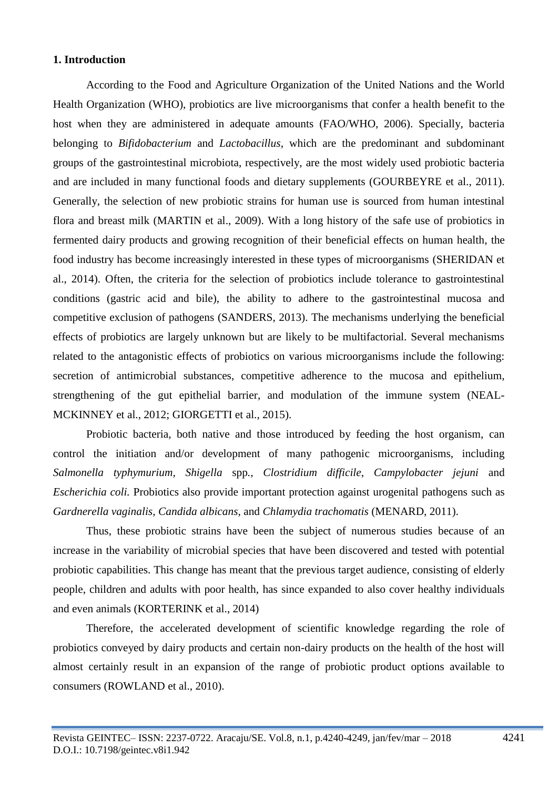### **1. Introduction**

According to the Food and Agriculture Organization of the United Nations and the World Health Organization (WHO), probiotics are live microorganisms that confer a health benefit to the host when they are administered in adequate amounts (FAO/WHO, 2006). Specially, bacteria belonging to *Bifidobacterium* and *Lactobacillus*, which are the predominant and subdominant groups of the gastrointestinal microbiota, respectively, are the most widely used probiotic bacteria and are included in many functional foods and dietary supplements (GOURBEYRE et al., 2011). Generally, the selection of new probiotic strains for human use is sourced from human intestinal flora and breast milk (MARTIN et al., 2009). With a long history of the safe use of probiotics in fermented dairy products and growing recognition of their beneficial effects on human health, the food industry has become increasingly interested in these types of microorganisms (SHERIDAN et al., 2014). Often, the criteria for the selection of probiotics include tolerance to gastrointestinal conditions (gastric acid and bile), the ability to adhere to the gastrointestinal mucosa and competitive exclusion of pathogens (SANDERS, 2013). The mechanisms underlying the beneficial effects of probiotics are largely unknown but are likely to be multifactorial. Several mechanisms related to the antagonistic effects of probiotics on various microorganisms include the following: secretion of antimicrobial substances, competitive adherence to the mucosa and epithelium, strengthening of the gut epithelial barrier, and modulation of the immune system (NEAL-MCKINNEY et al., 2012; GIORGETTI et al., 2015).

Probiotic bacteria, both native and those introduced by feeding the host organism, can control the initiation and/or development of many pathogenic microorganisms, including *Salmonella typhymurium, Shigella* spp*., Clostridium difficile, Campylobacter jejuni* and *Escherichia coli.* Probiotics also provide important protection against urogenital pathogens such as *Gardnerella vaginalis*, *Candida albicans,* and *Chlamydia trachomatis* (MENARD, 2011).

Thus, these probiotic strains have been the subject of numerous studies because of an increase in the variability of microbial species that have been discovered and tested with potential probiotic capabilities. This change has meant that the previous target audience, consisting of elderly people, children and adults with poor health, has since expanded to also cover healthy individuals and even animals (KORTERINK et al., 2014)

Therefore, the accelerated development of scientific knowledge regarding the role of probiotics conveyed by dairy products and certain non-dairy products on the health of the host will almost certainly result in an expansion of the range of probiotic product options available to consumers (ROWLAND et al., 2010).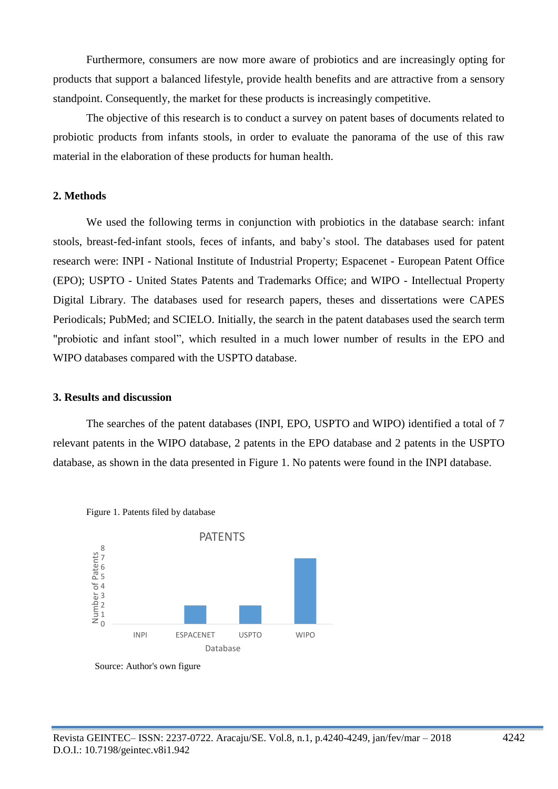Furthermore, consumers are now more aware of probiotics and are increasingly opting for products that support a balanced lifestyle, provide health benefits and are attractive from a sensory standpoint. Consequently, the market for these products is increasingly competitive.

The objective of this research is to conduct a survey on patent bases of documents related to probiotic products from infants stools, in order to evaluate the panorama of the use of this raw material in the elaboration of these products for human health.

### **2. Methods**

We used the following terms in conjunction with probiotics in the database search: infant stools, breast-fed-infant stools, feces of infants, and baby's stool. The databases used for patent research were: INPI - National Institute of Industrial Property; Espacenet - European Patent Office (EPO); USPTO - United States Patents and Trademarks Office; and WIPO - Intellectual Property Digital Library. The databases used for research papers, theses and dissertations were CAPES Periodicals; PubMed; and SCIELO. Initially, the search in the patent databases used the search term "probiotic and infant stool", which resulted in a much lower number of results in the EPO and WIPO databases compared with the USPTO database.

#### **3. Results and discussion**

The searches of the patent databases (INPI, EPO, USPTO and WIPO) identified a total of 7 relevant patents in the WIPO database, 2 patents in the EPO database and 2 patents in the USPTO database, as shown in the data presented in Figure 1. No patents were found in the INPI database.



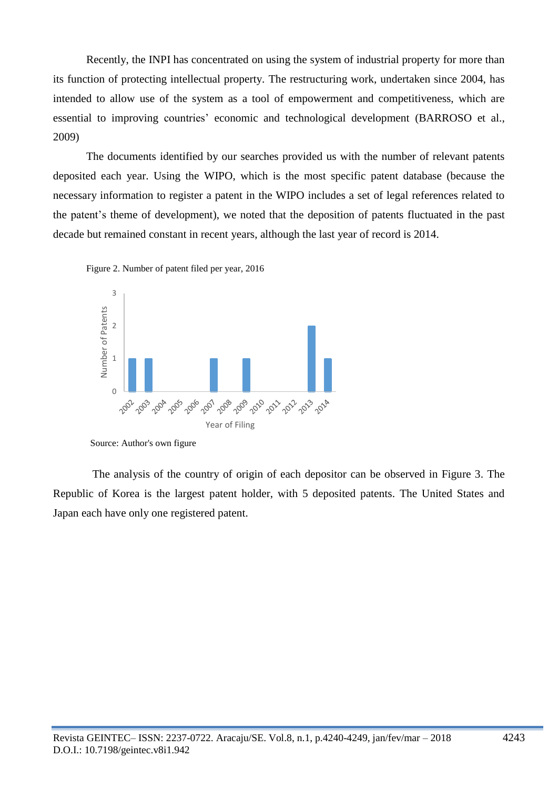Recently, the INPI has concentrated on using the system of industrial property for more than its function of protecting intellectual property. The restructuring work, undertaken since 2004, has intended to allow use of the system as a tool of empowerment and competitiveness, which are essential to improving countries' economic and technological development (BARROSO et al., 2009)

The documents identified by our searches provided us with the number of relevant patents deposited each year. Using the WIPO, which is the most specific patent database (because the necessary information to register a patent in the WIPO includes a set of legal references related to the patent's theme of development), we noted that the deposition of patents fluctuated in the past decade but remained constant in recent years, although the last year of record is 2014.





Source: Author's own figure

 The analysis of the country of origin of each depositor can be observed in Figure 3. The Republic of Korea is the largest patent holder, with 5 deposited patents. The United States and Japan each have only one registered patent.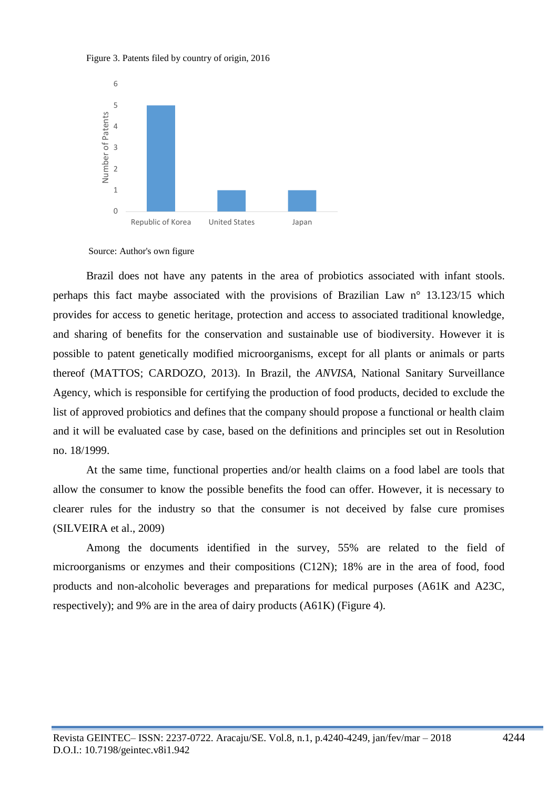





Brazil does not have any patents in the area of probiotics associated with infant stools. perhaps this fact maybe associated with the provisions of Brazilian Law n° 13.123/15 which provides for access to genetic heritage, protection and access to associated traditional knowledge, and sharing of benefits for the conservation and sustainable use of biodiversity. However it is possible to patent genetically modified microorganisms, except for all plants or animals or parts thereof (MATTOS; CARDOZO, 2013). In Brazil, the *ANVISA*, National Sanitary Surveillance Agency, which is responsible for certifying the production of food products, decided to exclude the list of approved probiotics and defines that the company should propose a functional or health claim and it will be evaluated case by case, based on the definitions and principles set out in Resolution no. 18/1999.

At the same time, functional properties and/or health claims on a food label are tools that allow the consumer to know the possible benefits the food can offer. However, it is necessary to clearer rules for the industry so that the consumer is not deceived by false cure promises (SILVEIRA et al., 2009)

Among the documents identified in the survey, 55% are related to the field of microorganisms or enzymes and their compositions (C12N); 18% are in the area of food, food products and non-alcoholic beverages and preparations for medical purposes (A61K and A23C, respectively); and 9% are in the area of dairy products (A61K) (Figure 4).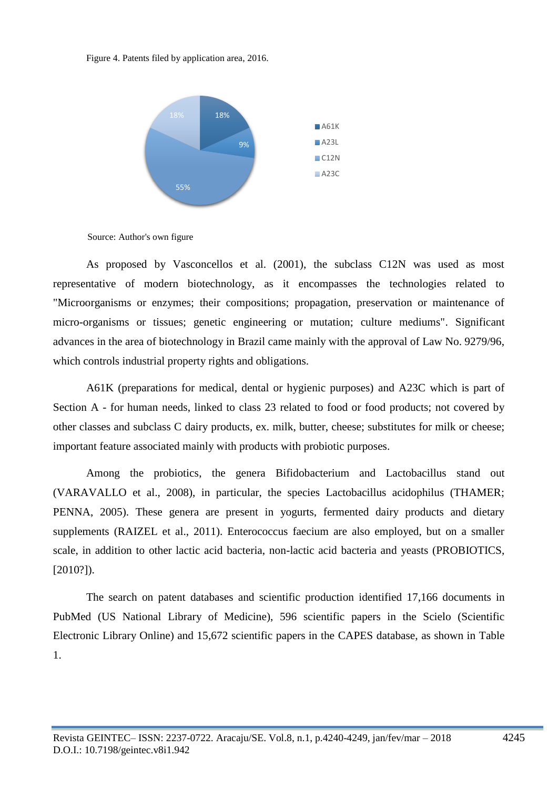Figure 4. Patents filed by application area, 2016.



Source: Author's own figure

As proposed by Vasconcellos et al. (2001), the subclass C12N was used as most representative of modern biotechnology, as it encompasses the technologies related to "Microorganisms or enzymes; their compositions; propagation, preservation or maintenance of micro-organisms or tissues; genetic engineering or mutation; culture mediums". Significant advances in the area of biotechnology in Brazil came mainly with the approval of Law No. 9279/96, which controls industrial property rights and obligations.

A61K (preparations for medical, dental or hygienic purposes) and A23C which is part of Section A - for human needs, linked to class 23 related to food or food products; not covered by other classes and subclass C dairy products, ex. milk, butter, cheese; substitutes for milk or cheese; important feature associated mainly with products with probiotic purposes.

Among the probiotics, the genera Bifidobacterium and Lactobacillus stand out (VARAVALLO et al., 2008), in particular, the species Lactobacillus acidophilus (THAMER; PENNA, 2005). These genera are present in yogurts, fermented dairy products and dietary supplements (RAIZEL et al., 2011). Enterococcus faecium are also employed, but on a smaller scale, in addition to other lactic acid bacteria, non-lactic acid bacteria and yeasts (PROBIOTICS, [2010?]).

The search on patent databases and scientific production identified 17,166 documents in PubMed (US National Library of Medicine), 596 scientific papers in the Scielo (Scientific Electronic Library Online) and 15,672 scientific papers in the CAPES database, as shown in Table 1.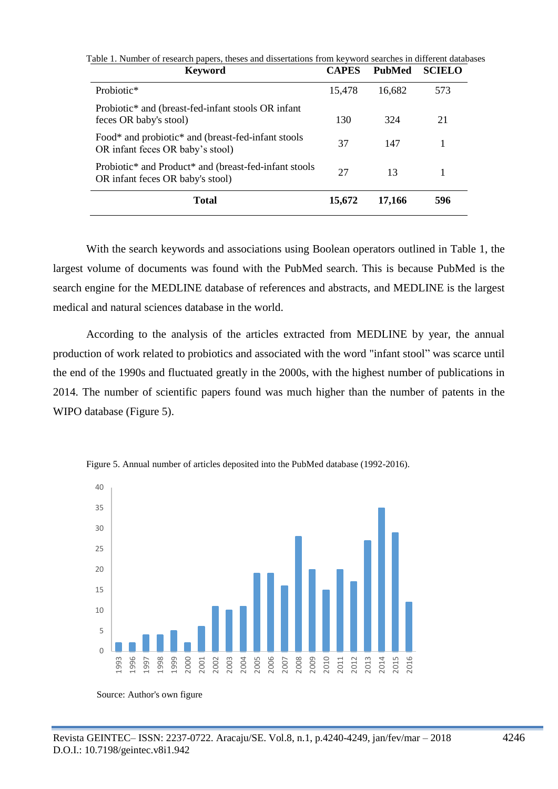| <b>Keyword</b>                                                                                                     | <b>CAPES</b> | <b>PubMed</b> | <b>SCIELO</b> |
|--------------------------------------------------------------------------------------------------------------------|--------------|---------------|---------------|
| Probiotic*                                                                                                         | 15,478       | 16.682        | 573           |
| Probiotic <sup>*</sup> and (breast-fed-infant stools OR infant)<br>feces OR baby's stool)                          | 130          | 324           | 21            |
| Food* and probiotic* and (breast-fed-infant stools<br>OR infant feces OR baby's stool)                             | 37           | 147           |               |
| Probiotic <sup>*</sup> and Product <sup>*</sup> and (breast-fed-infant stools)<br>OR infant feces OR baby's stool) | 27           | 13            |               |
| <b>Total</b>                                                                                                       | 15,672       | 17.166        | 596           |

Table 1. Number of research papers, theses and dissertations from keyword searches in different databases

With the search keywords and associations using Boolean operators outlined in Table 1, the largest volume of documents was found with the PubMed search. This is because PubMed is the search engine for the MEDLINE database of references and abstracts, and MEDLINE is the largest medical and natural sciences database in the world.

According to the analysis of the articles extracted from MEDLINE by year, the annual production of work related to probiotics and associated with the word "infant stool" was scarce until the end of the 1990s and fluctuated greatly in the 2000s, with the highest number of publications in 2014. The number of scientific papers found was much higher than the number of patents in the WIPO database (Figure 5).



Figure 5. Annual number of articles deposited into the PubMed database (1992-2016).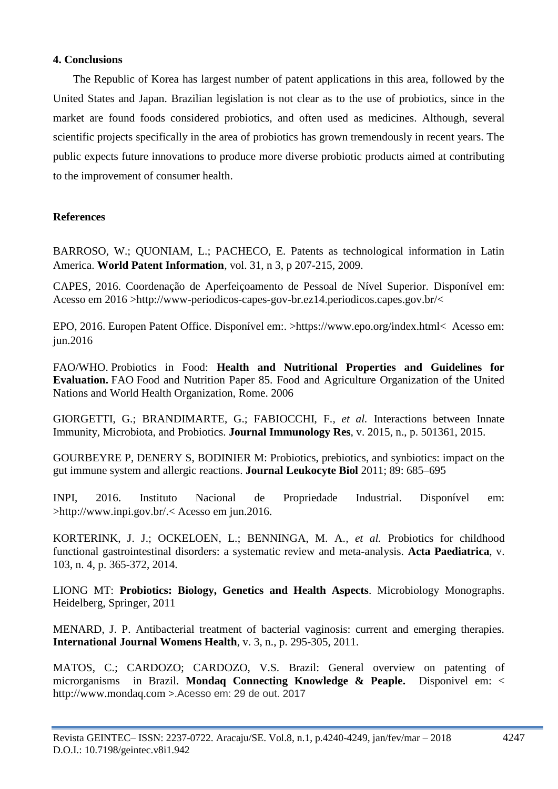## **4. Conclusions**

The Republic of Korea has largest number of patent applications in this area, followed by the United States and Japan. Brazilian legislation is not clear as to the use of probiotics, since in the market are found foods considered probiotics, and often used as medicines. Although, several scientific projects specifically in the area of probiotics has grown tremendously in recent years. The public expects future innovations to produce more diverse probiotic products aimed at contributing to the improvement of consumer health.

# **References**

BARROSO, W.; QUONIAM, L.; PACHECO, E. Patents as technological information in Latin America. **World Patent Information**, vol. 31, n 3, p 207-215, 2009.

CAPES, 2016. Coordenação de Aperfeiçoamento de Pessoal de Nível Superior. Disponível em: Acesso em 2016 >http://www-periodicos-capes-gov-br.ez14.periodicos.capes.gov.br/<

EPO, 2016. Europen Patent Office. Disponível em:. >https://www.epo.org/index.html< Acesso em: jun.2016

FAO/WHO. Probiotics in Food: **Health and Nutritional Properties and Guidelines for Evaluation.** FAO Food and Nutrition Paper 85. Food and Agriculture Organization of the United Nations and World Health Organization, Rome. 2006

GIORGETTI, G.; BRANDIMARTE, G.; FABIOCCHI, F.*, et al.* Interactions between Innate Immunity, Microbiota, and Probiotics. **Journal Immunology Res**, v. 2015, n., p. 501361, 2015.

GOURBEYRE P, DENERY S, BODINIER M: Probiotics, prebiotics, and synbiotics: impact on the gut immune system and allergic reactions. **Journal Leukocyte Biol** 2011; 89: 685–695

INPI, 2016. Instituto Nacional de Propriedade Industrial. Disponível em: >http://www.inpi.gov.br/.< Acesso em jun.2016.

KORTERINK, J. J.; OCKELOEN, L.; BENNINGA, M. A.*, et al.* Probiotics for childhood functional gastrointestinal disorders: a systematic review and meta-analysis. **Acta Paediatrica**, v. 103, n. 4, p. 365-372, 2014.

LIONG MT: **Probiotics: Biology, Genetics and Health Aspects**. Microbiology Monographs. Heidelberg, Springer, 2011

MENARD, J. P. Antibacterial treatment of bacterial vaginosis: current and emerging therapies. **International Journal Womens Health**, v. 3, n., p. 295-305, 2011.

MATOS, C.; CARDOZO; CARDOZO, V.S. Brazil: General overview on patenting of microrganisms in Brazil. **Mondaq Connecting Knowledge & Peaple.** Disponivel em: < http://www.mondaq.com >.Acesso em: 29 de out. 2017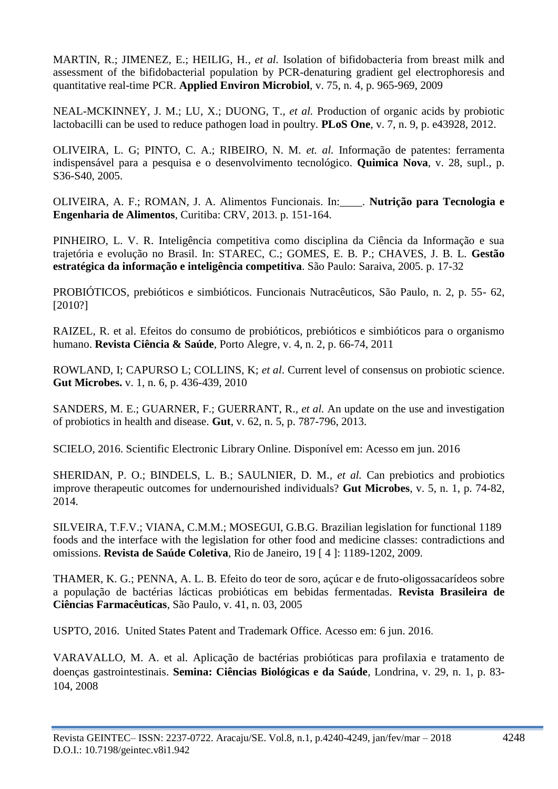MARTIN, R.; JIMENEZ, E.; HEILIG, H.*, et al.* Isolation of bifidobacteria from breast milk and assessment of the bifidobacterial population by PCR-denaturing gradient gel electrophoresis and quantitative real-time PCR. **Applied Environ Microbiol**, v. 75, n. 4, p. 965-969, 2009

NEAL-MCKINNEY, J. M.; LU, X.; DUONG, T.*, et al.* Production of organic acids by probiotic lactobacilli can be used to reduce pathogen load in poultry. **PLoS One**, v. 7, n. 9, p. e43928, 2012.

OLIVEIRA, L. G; PINTO, C. A.; RIBEIRO, N. M. *et. al.* Informação de patentes: ferramenta indispensável para a pesquisa e o desenvolvimento tecnológico. **Quimica Nova**, v. 28, supl., p. S36-S40, 2005.

OLIVEIRA, A. F.; ROMAN, J. A. Alimentos Funcionais. In:\_\_\_\_. **Nutrição para Tecnologia e Engenharia de Alimentos**, Curitiba: CRV, 2013. p. 151-164.

PINHEIRO, L. V. R. Inteligência competitiva como disciplina da Ciência da Informação e sua trajetória e evolução no Brasil. In: STAREC, C.; GOMES, E. B. P.; CHAVES, J. B. L. **Gestão estratégica da informação e inteligência competitiva**. São Paulo: Saraiva, 2005. p. 17-32

PROBIÓTICOS, prebióticos e simbióticos. Funcionais Nutracêuticos, São Paulo, n. 2, p. 55- 62, [2010?]

RAIZEL, R. et al. Efeitos do consumo de probióticos, prebióticos e simbióticos para o organismo humano. **Revista Ciência & Saúde**, Porto Alegre, v. 4, n. 2, p. 66-74, 2011

ROWLAND, I; CAPURSO L; COLLINS, K; *et al*. Current level of consensus on probiotic science. **Gut Microbes.** v. 1, n. 6, p. 436-439, 2010

SANDERS, M. E.; GUARNER, F.; GUERRANT, R.*, et al.* An update on the use and investigation of probiotics in health and disease. **Gut**, v. 62, n. 5, p. 787-796, 2013.

SCIELO, 2016. Scientific Electronic Library Online. Disponível em: Acesso em jun. 2016

SHERIDAN, P. O.; BINDELS, L. B.; SAULNIER, D. M.*, et al.* Can prebiotics and probiotics improve therapeutic outcomes for undernourished individuals? **Gut Microbes**, v. 5, n. 1, p. 74-82, 2014.

SILVEIRA, T.F.V.; VIANA, C.M.M.; MOSEGUI, G.B.G. Brazilian legislation for functional 1189 foods and the interface with the legislation for other food and medicine classes: contradictions and omissions. **Revista de Saúde Coletiva**, Rio de Janeiro, 19 [ 4 ]: 1189-1202, 2009.

THAMER, K. G.; PENNA, A. L. B. Efeito do teor de soro, açúcar e de fruto-oligossacarídeos sobre a população de bactérias lácticas probióticas em bebidas fermentadas. **Revista Brasileira de Ciências Farmacêuticas**, São Paulo, v. 41, n. 03, 2005

USPTO, 2016. United States Patent and Trademark Office. Acesso em: 6 jun. 2016.

VARAVALLO, M. A. et al. Aplicação de bactérias probióticas para profilaxia e tratamento de doenças gastrointestinais. **Semina: Ciências Biológicas e da Saúde**, Londrina, v. 29, n. 1, p. 83- 104, 2008